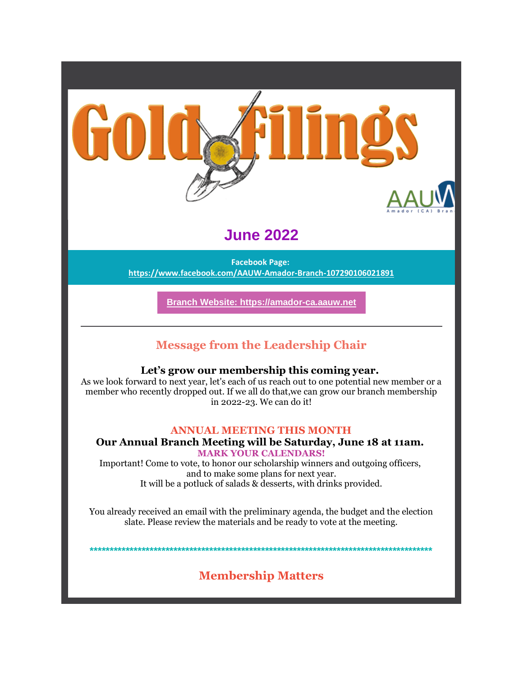

# **June 2022**

**Facebook Page: https://www.facebook.com/AAUW-Amador-Branch-107290106021891**

**Branch Website: https://amador-ca.aauw.net**

# **Message from the Leadership Chair**

## **Let's grow our membership this coming year.**

As we look forward to next year, let's each of us reach out to one potential new member or a member who recently dropped out. If we all do that,we can grow our branch membership in 2022-23. We can do it!

## **ANNUAL MEETING THIS MONTH**

### **Our Annual Branch Meeting will be Saturday, June 18 at 11am. MARK YOUR CALENDARS!**

Important! Come to vote, to honor our scholarship winners and outgoing officers, and to make some plans for next year. It will be a potluck of salads & desserts, with drinks provided.

You already received an email with the preliminary agenda, the budget and the election slate. Please review the materials and be ready to vote at the meeting.

**\*\*\*\*\*\*\*\*\*\*\*\*\*\*\*\*\*\*\*\*\*\*\*\*\*\*\*\*\*\*\*\*\*\*\*\*\*\*\*\*\*\*\*\*\*\*\*\*\*\*\*\*\*\*\*\*\*\*\*\*\*\*\*\*\*\*\*\*\*\*\*\*\*\*\*\*\*\*\*\*\*\*\*\*\*\***

# **Membership Matters**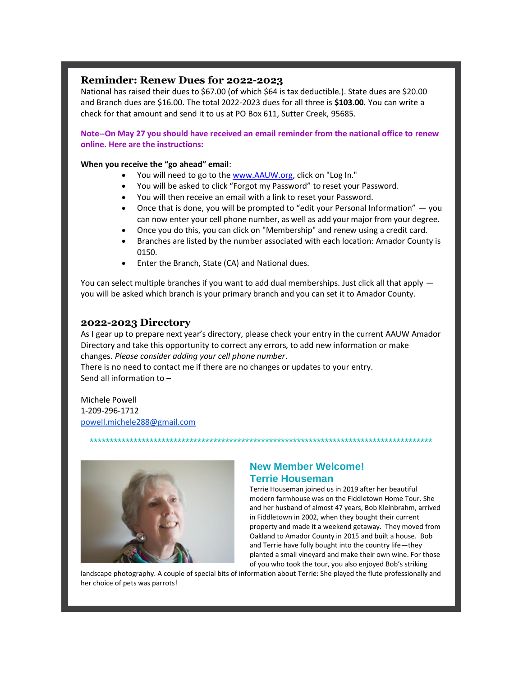#### **Reminder: Renew Dues for 2022-2023**

National has raised their dues to \$67.00 (of which \$64 is tax deductible.). State dues are \$20.00 and Branch dues are \$16.00. The total 2022-2023 dues for all three is **\$103.00**. You can write a check for that amount and send it to us at PO Box 611, Sutter Creek, 95685.

**Note--On May 27 you should have received an email reminder from the national office to renew online. Here are the instructions:**

#### **When you receive the "go ahead" email**:

- You will need to go to the www.AAUW.org, click on "Log In."
- You will be asked to click "Forgot my Password" to reset your Password.
- You will then receive an email with a link to reset your Password.
- Once that is done, you will be prompted to "edit your Personal Information" you can now enter your cell phone number, as well as add your major from your degree.
- Once you do this, you can click on "Membership" and renew using a credit card.
- Branches are listed by the number associated with each location: Amador County is 0150.
- Enter the Branch, State (CA) and National dues.

You can select multiple branches if you want to add dual memberships. Just click all that apply  $$ you will be asked which branch is your primary branch and you can set it to Amador County.

#### **2022-2023 Directory**

As I gear up to prepare next year's directory, please check your entry in the current AAUW Amador Directory and take this opportunity to correct any errors, to add new information or make changes. *Please consider adding your cell phone number*.

\*\*\*\*\*\*\*\*\*\*\*\*\*\*\*\*\*\*\*\*\*\*\*\*\*\*\*\*\*\*\*\*\*\*\*\*\*\*\*\*\*\*\*\*\*\*\*\*\*\*\*\*\*\*\*\*\*\*\*\*\*\*\*\*\*\*\*\*\*\*\*\*\*\*\*\*\*\*\*\*\*\*\*\*\*\*

There is no need to contact me if there are no changes or updates to your entry. Send all information to –

Michele Powell 1-209-296-1712 powell.michele288@gmail.com



## **New Member Welcome! Terrie Houseman**

Terrie Houseman joined us in 2019 after her beautiful modern farmhouse was on the Fiddletown Home Tour. She and her husband of almost 47 years, Bob Kleinbrahm, arrived in Fiddletown in 2002, when they bought their current property and made it a weekend getaway. They moved from Oakland to Amador County in 2015 and built a house. Bob and Terrie have fully bought into the country life—they planted a small vineyard and make their own wine. For those of you who took the tour, you also enjoyed Bob's striking

landscape photography. A couple of special bits of information about Terrie: She played the flute professionally and her choice of pets was parrots!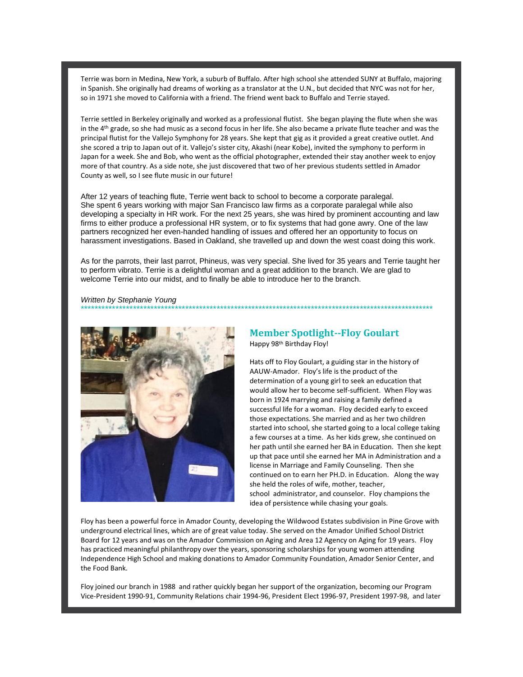Terrie was born in Medina, New York, a suburb of Buffalo. After high school she attended SUNY at Buffalo, majoring in Spanish. She originally had dreams of working as a translator at the U.N., but decided that NYC was not for her, so in 1971 she moved to California with a friend. The friend went back to Buffalo and Terrie stayed.

Terrie settled in Berkeley originally and worked as a professional flutist. She began playing the flute when she was in the 4<sup>th</sup> grade, so she had music as a second focus in her life. She also became a private flute teacher and was the principal flutist for the Vallejo Symphony for 28 years. She kept that gig as it provided a great creative outlet. And she scored a trip to Japan out of it. Vallejo's sister city, Akashi (near Kobe), invited the symphony to perform in Japan for a week. She and Bob, who went as the official photographer, extended their stay another week to enjoy more of that country. As a side note, she just discovered that two of her previous students settled in Amador County as well, so I see flute music in our future!

After 12 years of teaching flute, Terrie went back to school to become a corporate paralegal. She spent 6 years working with major San Francisco law firms as a corporate paralegal while also developing a specialty in HR work. For the next 25 years, she was hired by prominent accounting and law firms to either produce a professional HR system, or to fix systems that had gone awry. One of the law partners recognized her even-handed handling of issues and offered her an opportunity to focus on harassment investigations. Based in Oakland, she travelled up and down the west coast doing this work.

As for the parrots, their last parrot, Phineus, was very special. She lived for 35 years and Terrie taught her to perform vibrato. Terrie is a delightful woman and a great addition to the branch. We are glad to welcome Terrie into our midst, and to finally be able to introduce her to the branch.

*Written by Stephanie Young* \*\*\*\*\*\*\*\*\*\*\*\*\*\*\*\*\*\*\*\*\*\*\*\*\*\*\*\*\*\*\*\*\*\*\*\*\*\*\*\*\*\*\*\*\*\*\*\*\*\*\*\*\*\*\*\*\*\*\*\*\*\*\*\*\*\*\*\*\*\*\*\*\*\*\*\*\*\*\*\*\*\*\*\*\*\*\*\*\*\*\*\*\*\*\*\*\*\*\*\*\*



#### **Member Spotlight--Floy Goulart** Happy 98<sup>th</sup> Birthday Floy!

Hats off to Floy Goulart, a guiding star in the history of AAUW-Amador. Floy's life is the product of the determination of a young girl to seek an education that would allow her to become self-sufficient. When Floy was born in 1924 marrying and raising a family defined a successful life for a woman. Floy decided early to exceed those expectations. She married and as her two children started into school, she started going to a local college taking a few courses at a time. As her kids grew, she continued on her path until she earned her BA in Education. Then she kept up that pace until she earned her MA in Administration and a license in Marriage and Family Counseling. Then she continued on to earn her PH.D. in Education. Along the way she held the roles of wife, mother, teacher, school administrator, and counselor. Floy champions the idea of persistence while chasing your goals.

Floy has been a powerful force in Amador County, developing the Wildwood Estates subdivision in Pine Grove with underground electrical lines, which are of great value today. She served on the Amador Unified School District Board for 12 years and was on the Amador Commission on Aging and Area 12 Agency on Aging for 19 years. Floy has practiced meaningful philanthropy over the years, sponsoring scholarships for young women attending Independence High School and making donations to Amador Community Foundation, Amador Senior Center, and the Food Bank.

Floy joined our branch in 1988 and rather quickly began her support of the organization, becoming our Program Vice-President 1990-91, Community Relations chair 1994-96, President Elect 1996-97, President 1997-98, and later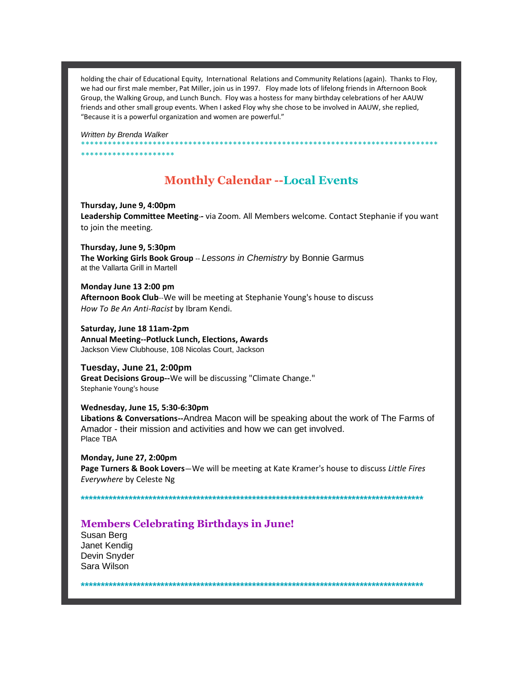holding the chair of Educational Equity, International Relations and Community Relations (again). Thanks to Floy, we had our first male member, Pat Miller, join us in 1997. Floy made lots of lifelong friends in Afternoon Book Group, the Walking Group, and Lunch Bunch. Floy was a hostess for many birthday celebrations of her AAUW friends and other small group events. When I asked Floy why she chose to be involved in AAUW, she replied, "Because it is a powerful organization and women are powerful."

*Written by Brenda Walker*

\*\*\*\*\*\*\*\*\*\*\*\*\*\*\*\*\*\*\*\*\*

**Monthly Calendar --Local Events**

\*\*\*\*\*\*\*\*\*\*\*\*\*\*\*\*\*\*\*\*\*\*\*\*\*\*\*\*\*\*\*\*\*\*\*\*\*\*\*\*\*\*\*\*\*\*\*\*\*\*\*\*\*\*\*\*\*\*\*\*\*\*\*\*\*\*\*\*\*\*\*\*\*\*\*\*\*\*\*\*

**Thursday, June 9, 4:00pm**

**Leadership Committee Meeting**-**-** via Zoom. All Members welcome. Contact Stephanie if you want to join the meeting.

**Thursday, June 9, 5:30pm The Working Girls Book Group** -- *Lessons in Chemistry* by Bonnie Garmus at the Vallarta Grill in Martell

**Monday June 13 2:00 pm Afternoon Book Club**--We will be meeting at Stephanie Young's house to discuss *How To Be An Anti-Racist* by Ibram Kendi.

**Saturday, June 18 11am-2pm Annual Meeting--Potluck Lunch, Elections, Awards** Jackson View Clubhouse, 108 Nicolas Court, Jackson

**Tuesday, June 21, 2:00pm Great Decisions Group--**We will be discussing "Climate Change." Stephanie Young's house

**Wednesday, June 15, 5:30-6:30pm Libations & Conversations--**Andrea Macon will be speaking about the work of The Farms of Amador - their mission and activities and how we can get involved. Place TBA

**Monday, June 27, 2:00pm Page Turners & Book Lovers**—We will be meeting at Kate Kramer's house to discuss *Little Fires Everywhere* by Celeste Ng

**\*\*\*\*\*\*\*\*\*\*\*\*\*\*\*\*\*\*\*\*\*\*\*\*\*\*\*\*\*\*\*\*\*\*\*\*\*\*\*\*\*\*\*\*\*\*\*\*\*\*\*\*\*\*\*\*\*\*\*\*\*\*\*\*\*\*\*\*\*\*\*\*\*\*\*\*\*\*\*\*\*\*\*\*\*\***

## **Members Celebrating Birthdays in June!**

Susan Berg Janet Kendig Devin Snyder Sara Wilson

**\*\*\*\*\*\*\*\*\*\*\*\*\*\*\*\*\*\*\*\*\*\*\*\*\*\*\*\*\*\*\*\*\*\*\*\*\*\*\*\*\*\*\*\*\*\*\*\*\*\*\*\*\*\*\*\*\*\*\*\*\*\*\*\*\*\*\*\*\*\*\*\*\*\*\*\*\*\*\*\*\*\*\*\*\*\***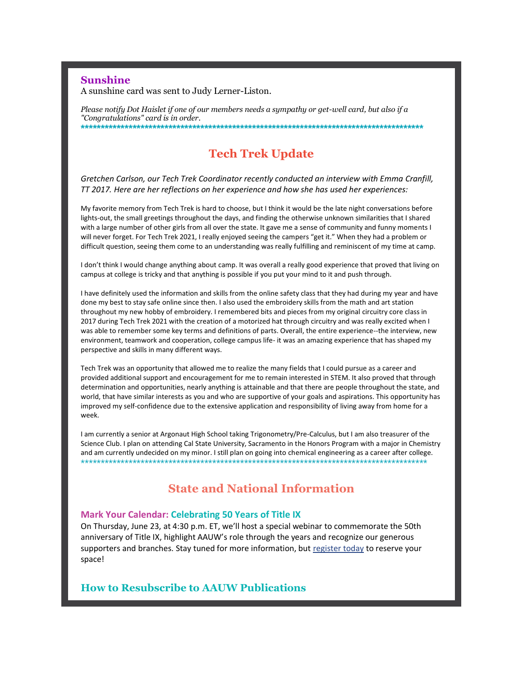### **Sunshine**

A sunshine card was sent to Judy Lerner-Liston.

*Please notify Dot Haislet if one of our members needs a sympathy or get-well card, but also if a "Congratulations" card is in order.* **\*\*\*\*\*\*\*\*\*\*\*\*\*\*\*\*\*\*\*\*\*\*\*\*\*\*\*\*\*\*\*\*\*\*\*\*\*\*\*\*\*\*\*\*\*\*\*\*\*\*\*\*\*\*\*\*\*\*\*\*\*\*\*\*\*\*\*\*\*\*\*\*\*\*\*\*\*\*\*\*\*\*\*\*\*\***

# **Tech Trek Update**

*Gretchen Carlson, our Tech Trek Coordinator recently conducted an interview with Emma Cranfill, TT 2017. Here are her reflections on her experience and how she has used her experiences:*

My favorite memory from Tech Trek is hard to choose, but I think it would be the late night conversations before lights-out, the small greetings throughout the days, and finding the otherwise unknown similarities that I shared with a large number of other girls from all over the state. It gave me a sense of community and funny moments I will never forget. For Tech Trek 2021, I really enjoyed seeing the campers "get it." When they had a problem or difficult question, seeing them come to an understanding was really fulfilling and reminiscent of my time at camp.

I don't think I would change anything about camp. It was overall a really good experience that proved that living on campus at college is tricky and that anything is possible if you put your mind to it and push through.

I have definitely used the information and skills from the online safety class that they had during my year and have done my best to stay safe online since then. I also used the embroidery skills from the math and art station throughout my new hobby of embroidery. I remembered bits and pieces from my original circuitry core class in 2017 during Tech Trek 2021 with the creation of a motorized hat through circuitry and was really excited when I was able to remember some key terms and definitions of parts. Overall, the entire experience--the interview, new environment, teamwork and cooperation, college campus life- it was an amazing experience that has shaped my perspective and skills in many different ways.

Tech Trek was an opportunity that allowed me to realize the many fields that I could pursue as a career and provided additional support and encouragement for me to remain interested in STEM. It also proved that through determination and opportunities, nearly anything is attainable and that there are people throughout the state, and world, that have similar interests as you and who are supportive of your goals and aspirations. This opportunity has improved my self-confidence due to the extensive application and responsibility of living away from home for a week.

I am currently a senior at Argonaut High School taking Trigonometry/Pre-Calculus, but I am also treasurer of the Science Club. I plan on attending Cal State University, Sacramento in the Honors Program with a major in Chemistry and am currently undecided on my minor. I still plan on going into chemical engineering as a career after college. \*\*\*\*\*\*\*\*\*\*\*\*\*\*\*\*\*\*\*\*\*\*\*\*\*\*\*\*\*\*\*\*\*\*\*\*\*\*\*\*\*\*\*\*\*\*\*\*\*\*\*\*\*\*\*\*\*\*\*\*\*\*\*\*\*\*\*\*\*\*\*\*\*\*\*\*\*\*\*\*\*\*\*\*\*\*\*

# **State and National Information**

#### **Mark Your Calendar: Celebrating 50 Years of Title IX**

On Thursday, June 23, at 4:30 p.m. ET, we'll host a special webinar to commemorate the 50th anniversary of Title IX, highlight AAUW's role through the years and recognize our generous supporters and branches. Stay tuned for more information, but register today to reserve your space!

### **How to Resubscribe to AAUW Publications**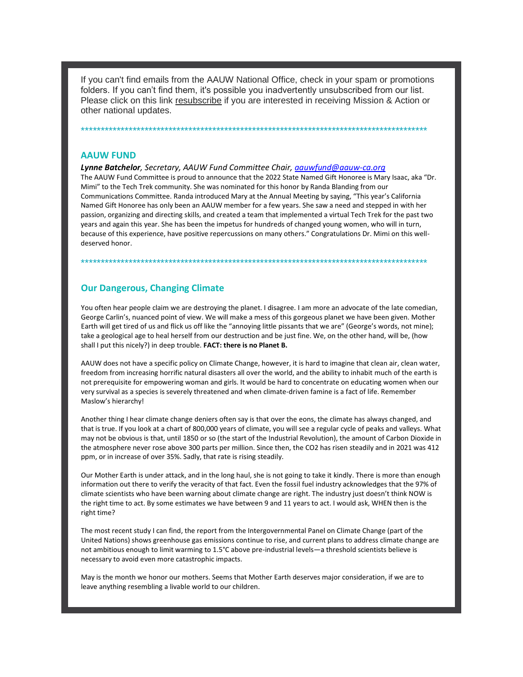If you can't find emails from the AAUW National Office, check in your spam or promotions folders. If you can't find them, it's possible you inadvertently unsubscribed from our list. Please click on this link resubscribe if you are interested in receiving Mission & Action or other national updates.

#### **AAUW FUND**

*Lynne Batchelor, Secretary, AAUW Fund Committee Chair, aauwfund@aauw-ca.org*

\*\*\*\*\*\*\*\*\*\*\*\*\*\*\*\*\*\*\*\*\*\*\*\*\*\*\*\*\*\*\*\*\*\*\*\*\*\*\*\*\*\*\*\*\*\*\*\*\*\*\*\*\*\*\*\*\*\*\*\*\*\*\*\*\*\*\*\*\*\*\*\*\*\*\*\*\*\*\*\*\*\*\*\*\*\*\*

The AAUW Fund Committee is proud to announce that the 2022 State Named Gift Honoree is Mary Isaac, aka "Dr. Mimi" to the Tech Trek community. She was nominated for this honor by Randa Blanding from our Communications Committee. Randa introduced Mary at the Annual Meeting by saying, "This year's California Named Gift Honoree has only been an AAUW member for a few years. She saw a need and stepped in with her passion, organizing and directing skills, and created a team that implemented a virtual Tech Trek for the past two years and again this year. She has been the impetus for hundreds of changed young women, who will in turn, because of this experience, have positive repercussions on many others." Congratulations Dr. Mimi on this welldeserved honor.

\*\*\*\*\*\*\*\*\*\*\*\*\*\*\*\*\*\*\*\*\*\*\*\*\*\*\*\*\*\*\*\*\*\*\*\*\*\*\*\*\*\*\*\*\*\*\*\*\*\*\*\*\*\*\*\*\*\*\*\*\*\*\*\*\*\*\*\*\*\*\*\*\*\*\*\*\*\*\*\*\*\*\*\*\*\*\*

#### **Our Dangerous, Changing Climate**

You often hear people claim we are destroying the planet. I disagree. I am more an advocate of the late comedian, George Carlin's, nuanced point of view. We will make a mess of this gorgeous planet we have been given. Mother Earth will get tired of us and flick us off like the "annoying little pissants that we are" (George's words, not mine); take a geological age to heal herself from our destruction and be just fine. We, on the other hand, will be, (how shall I put this nicely?) in deep trouble. **FACT: there is no Planet B.**

AAUW does not have a specific policy on Climate Change, however, it is hard to imagine that clean air, clean water, freedom from increasing horrific natural disasters all over the world, and the ability to inhabit much of the earth is not prerequisite for empowering woman and girls. It would be hard to concentrate on educating women when our very survival as a species is severely threatened and when climate-driven famine is a fact of life. Remember Maslow's hierarchy!

Another thing I hear climate change deniers often say is that over the eons, the climate has always changed, and that is true. If you look at a chart of 800,000 years of climate, you will see a regular cycle of peaks and valleys. What may not be obvious is that, until 1850 or so (the start of the Industrial Revolution), the amount of Carbon Dioxide in the atmosphere never rose above 300 parts per million. Since then, the CO2 has risen steadily and in 2021 was 412 ppm, or in increase of over 35%. Sadly, that rate is rising steadily.

Our Mother Earth is under attack, and in the long haul, she is not going to take it kindly. There is more than enough information out there to verify the veracity of that fact. Even the fossil fuel industry acknowledges that the 97% of climate scientists who have been warning about climate change are right. The industry just doesn't think NOW is the right time to act. By some estimates we have between 9 and 11 years to act. I would ask, WHEN then is the right time?

The most recent study I can find, the report from the Intergovernmental Panel on Climate Change (part of the United Nations) shows greenhouse gas emissions continue to rise, and current plans to address climate change are not ambitious enough to limit warming to 1.5°C above pre-industrial levels—a threshold scientists believe is necessary to avoid even more catastrophic impacts.

May is the month we honor our mothers. Seems that Mother Earth deserves major consideration, if we are to leave anything resembling a livable world to our children.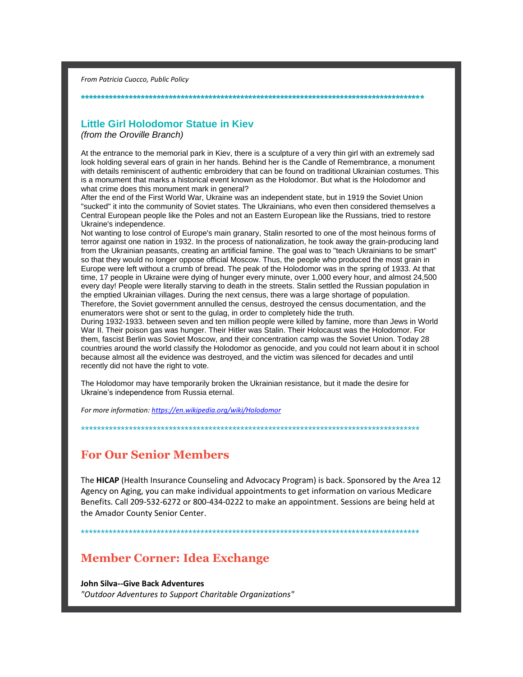*From Patricia Cuocco, Public Policy*

## **Little Girl Holodomor Statue in Kiev**

**\*\*\*\*\*\*\*\*\*\*\*\*\*\*\*\*\*\*\*\*\*\*\*\*\*\*\*\*\*\*\*\*\*\*\*\*\*\*\*\*\*\*\*\*\*\*\*\*\*\*\*\*\*\*\*\*\*\*\*\*\*\*\*\*\*\*\*\*\*\*\*\*\*\*\*\*\*\*\*\*\*\*\*\*\*\***

*(from the Oroville Branch)*

At the entrance to the memorial park in Kiev, there is a sculpture of a very thin girl with an extremely sad look holding several ears of grain in her hands. Behind her is the Candle of Remembrance, a monument with details reminiscent of authentic embroidery that can be found on traditional Ukrainian costumes. This is a monument that marks a historical event known as the Holodomor. But what is the Holodomor and what crime does this monument mark in general?

After the end of the First World War, Ukraine was an independent state, but in 1919 the Soviet Union "sucked" it into the community of Soviet states. The Ukrainians, who even then considered themselves a Central European people like the Poles and not an Eastern European like the Russians, tried to restore Ukraine's independence.

Not wanting to lose control of Europe's main granary, Stalin resorted to one of the most heinous forms of terror against one nation in 1932. In the process of nationalization, he took away the grain-producing land from the Ukrainian peasants, creating an artificial famine. The goal was to "teach Ukrainians to be smart" so that they would no longer oppose official Moscow. Thus, the people who produced the most grain in Europe were left without a crumb of bread. The peak of the Holodomor was in the spring of 1933. At that time, 17 people in Ukraine were dying of hunger every minute, over 1,000 every hour, and almost 24,500 every day! People were literally starving to death in the streets. Stalin settled the Russian population in the emptied Ukrainian villages. During the next census, there was a large shortage of population. Therefore, the Soviet government annulled the census, destroyed the census documentation, and the enumerators were shot or sent to the gulag, in order to completely hide the truth.

During 1932-1933. between seven and ten million people were killed by famine, more than Jews in World War II. Their poison gas was hunger. Their Hitler was Stalin. Their Holocaust was the Holodomor. For them, fascist Berlin was Soviet Moscow, and their concentration camp was the Soviet Union. Today 28 countries around the world classify the Holodomor as genocide, and you could not learn about it in school because almost all the evidence was destroyed, and the victim was silenced for decades and until recently did not have the right to vote.

The Holodomor may have temporarily broken the Ukrainian resistance, but it made the desire for Ukraine's independence from Russia eternal.

*For more information: https://en.wikipedia.org/wiki/Holodomor*

# **For Our Senior Members**

The **HICAP** (Health Insurance Counseling and Advocacy Program) is back. Sponsored by the Area 12 Agency on Aging, you can make individual appointments to get information on various Medicare Benefits. Call 209-532-6272 or 800-434-0222 to make an appointment. Sessions are being held at the Amador County Senior Center.

\*\*\*\*\*\*\*\*\*\*\*\*\*\*\*\*\*\*\*\*\*\*\*\*\*\*\*\*\*\*\*\*\*\*\*\*\*\*\*\*\*\*\*\*\*\*\*\*\*\*\*\*\*\*\*\*\*\*\*\*\*\*\*\*\*\*\*\*\*\*\*\*\*\*\*\*\*\*\*\*\*\*\*\*\*

\*\*\*\*\*\*\*\*\*\*\*\*\*\*\*\*\*\*\*\*\*\*\*\*\*\*\*\*\*\*\*\*\*\*\*\*\*\*\*\*\*\*\*\*\*\*\*\*\*\*\*\*\*\*\*\*\*\*\*\*\*\*\*\*\*\*\*\*\*\*\*\*\*\*\*\*\*\*\*\*\*\*\*\*\*

# **Member Corner: Idea Exchange**

**John Silva--Give Back Adventures** *"Outdoor Adventures to Support Charitable Organizations"*